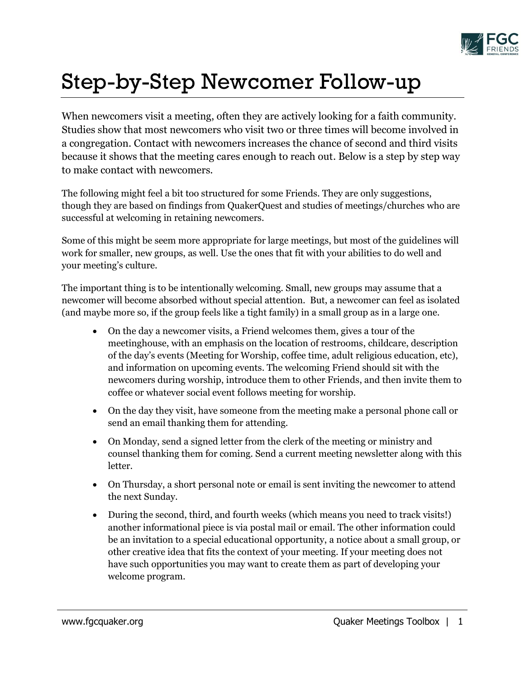

## Step-by-Step Newcomer Follow-up

When newcomers visit a meeting, often they are actively looking for a faith community. Studies show that most newcomers who visit two or three times will become involved in a congregation. Contact with newcomers increases the chance of second and third visits because it shows that the meeting cares enough to reach out. Below is a step by step way to make contact with newcomers.

The following might feel a bit too structured for some Friends. They are only suggestions, though they are based on findings from QuakerQuest and studies of meetings/churches who are successful at welcoming in retaining newcomers.

Some of this might be seem more appropriate for large meetings, but most of the guidelines will work for smaller, new groups, as well. Use the ones that fit with your abilities to do well and your meeting's culture.

The important thing is to be intentionally welcoming. Small, new groups may assume that a newcomer will become absorbed without special attention. But, a newcomer can feel as isolated (and maybe more so, if the group feels like a tight family) in a small group as in a large one.

- On the day a newcomer visits, a Friend welcomes them, gives a tour of the meetinghouse, with an emphasis on the location of restrooms, childcare, description of the day's events (Meeting for Worship, coffee time, adult religious education, etc), and information on upcoming events. The welcoming Friend should sit with the newcomers during worship, introduce them to other Friends, and then invite them to coffee or whatever social event follows meeting for worship.
- On the day they visit, have someone from the meeting make a personal phone call or send an email thanking them for attending.
- On Monday, send a signed letter from the clerk of the meeting or ministry and counsel thanking them for coming. Send a current meeting newsletter along with this letter.
- On Thursday, a short personal note or email is sent inviting the newcomer to attend the next Sunday.
- During the second, third, and fourth weeks (which means you need to track visits!) another informational piece is via postal mail or email. The other information could be an invitation to a special educational opportunity, a notice about a small group, or other creative idea that fits the context of your meeting. If your meeting does not have such opportunities you may want to create them as part of developing your welcome program.